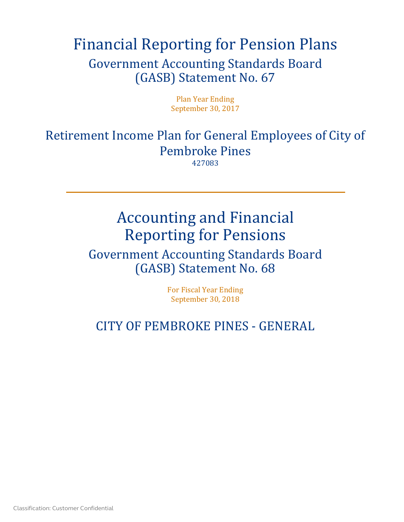# Financial Reporting for Pension Plans Government Accounting Standards Board (GASB) Statement No. 67

Plan Year Ending September 30, 2017

Retirement Income Plan for General Employees of City of Pembroke Pines

427083

# Accounting and Financial Reporting for Pensions

# Government Accounting Standards Board (GASB) Statement No. 68

For Fiscal Year Ending September 30, 2018

# CITY OF PEMBROKE PINES - GENERAL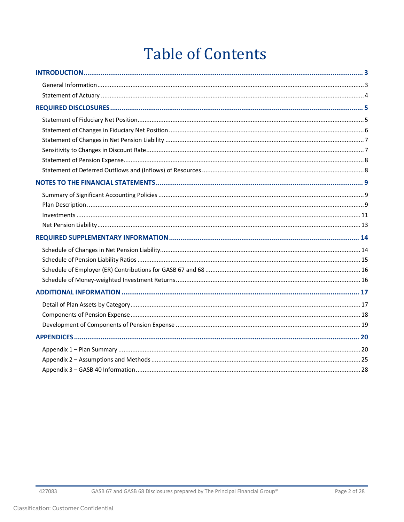# **Table of Contents**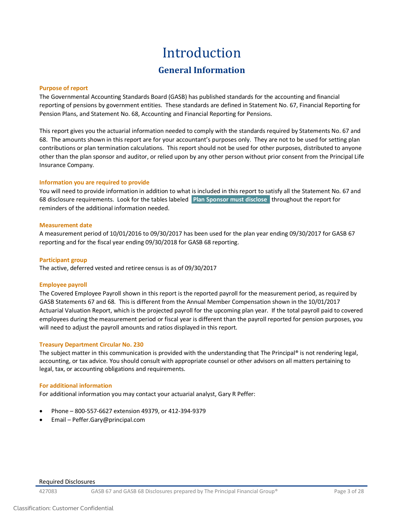# Introduction **General Information**

#### <span id="page-2-1"></span><span id="page-2-0"></span>**Purpose of report**

The Governmental Accounting Standards Board (GASB) has published standards for the accounting and financial reporting of pensions by government entities. These standards are defined in Statement No. 67, Financial Reporting for Pension Plans, and Statement No. 68, Accounting and Financial Reporting for Pensions.

This report gives you the actuarial information needed to comply with the standards required by Statements No. 67 and 68. The amounts shown in this report are for your accountant's purposes only. They are not to be used for setting plan contributions or plan termination calculations. This report should not be used for other purposes, distributed to anyone other than the plan sponsor and auditor, or relied upon by any other person without prior consent from the Principal Life Insurance Company.

#### **Information you are required to provide**

You will need to provide information in addition to what is included in this report to satisfy all the Statement No. 67 and 68 disclosure requirements. Look for the tables labeled **Plan Sponsor must disclose** throughout the report for reminders of the additional information needed.

#### **Measurement date**

A measurement period of 10/01/2016 to 09/30/2017 has been used for the plan year ending 09/30/2017 for GASB 67 reporting and for the fiscal year ending 09/30/2018 for GASB 68 reporting.

#### **Participant group**

The active, deferred vested and retiree census is as of 09/30/2017

#### **Employee payroll**

The Covered Employee Payroll shown in this report is the reported payroll for the measurement period, as required by GASB Statements 67 and 68. This is different from the Annual Member Compensation shown in the 10/01/2017 Actuarial Valuation Report, which is the projected payroll for the upcoming plan year. If the total payroll paid to covered employees during the measurement period or fiscal year is different than the payroll reported for pension purposes, you will need to adjust the payroll amounts and ratios displayed in this report.

#### **Treasury Department Circular No. 230**

The subject matter in this communication is provided with the understanding that The Principal® is not rendering legal, accounting, or tax advice. You should consult with appropriate counsel or other advisors on all matters pertaining to legal, tax, or accounting obligations and requirements.

#### **For additional information**

For additional information you may contact your actuarial analyst, Gary R Peffer:

- Phone 800-557-6627 extension 49379, or 412-394-9379
- Email Peffer.Gary@principal.com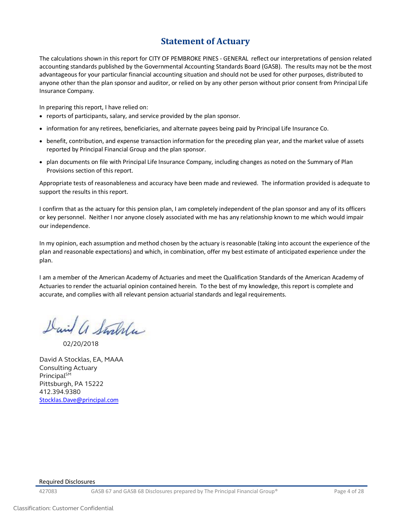### **Statement of Actuary**

<span id="page-3-0"></span>The calculations shown in this report for CITY OF PEMBROKE PINES - GENERAL reflect our interpretations of pension related accounting standards published by the Governmental Accounting Standards Board (GASB). The results may not be the most advantageous for your particular financial accounting situation and should not be used for other purposes, distributed to anyone other than the plan sponsor and auditor, or relied on by any other person without prior consent from Principal Life Insurance Company.

In preparing this report, I have relied on:

- reports of participants, salary, and service provided by the plan sponsor.
- information for any retirees, beneficiaries, and alternate payees being paid by Principal Life Insurance Co.
- benefit, contribution, and expense transaction information for the preceding plan year, and the market value of assets reported by Principal Financial Group and the plan sponsor.
- plan documents on file with Principal Life Insurance Company, including changes as noted on the Summary of Plan Provisions section of this report.

Appropriate tests of reasonableness and accuracy have been made and reviewed. The information provided is adequate to support the results in this report.

I confirm that as the actuary for this pension plan, I am completely independent of the plan sponsor and any of its officers or key personnel. Neither I nor anyone closely associated with me has any relationship known to me which would impair our independence.

In my opinion, each assumption and method chosen by the actuary is reasonable (taking into account the experience of the plan and reasonable expectations) and which, in combination, offer my best estimate of anticipated experience under the plan.

I am a member of the American Academy of Actuaries and meet the Qualification Standards of the American Academy of Actuaries to render the actuarial opinion contained herein. To the best of my knowledge, this report is complete and accurate, and complies with all relevant pension actuarial standards and legal requirements.

David a Stralla

02/20/2018

<span id="page-3-1"></span>David A Stocklas, EA, MAAA Consulting Actuary Principal<sup>SM</sup> Pittsburgh, PA 15222 412.394.9380 [Stocklas.Dave@principal.com](mailto:Stocklas.Dave@principal.com)

#### Required Disclosures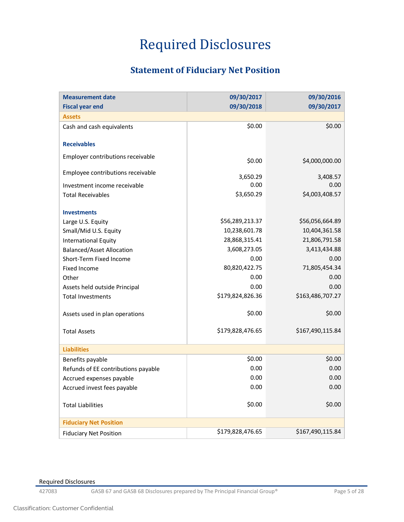# Required Disclosures

## **Statement of Fiduciary Net Position**

<span id="page-4-0"></span>

| <b>Measurement date</b>             | 09/30/2017       | 09/30/2016       |
|-------------------------------------|------------------|------------------|
| <b>Fiscal year end</b>              | 09/30/2018       | 09/30/2017       |
| <b>Assets</b>                       |                  |                  |
| Cash and cash equivalents           | \$0.00           | \$0.00           |
|                                     |                  |                  |
| <b>Receivables</b>                  |                  |                  |
| Employer contributions receivable   | \$0.00           | \$4,000,000.00   |
| Employee contributions receivable   |                  |                  |
|                                     | 3,650.29         | 3,408.57         |
| Investment income receivable        | 0.00             | 0.00             |
| <b>Total Receivables</b>            | \$3,650.29       | \$4,003,408.57   |
| <b>Investments</b>                  |                  |                  |
| Large U.S. Equity                   | \$56,289,213.37  | \$56,056,664.89  |
| Small/Mid U.S. Equity               | 10,238,601.78    | 10,404,361.58    |
| <b>International Equity</b>         | 28,868,315.41    | 21,806,791.58    |
| <b>Balanced/Asset Allocation</b>    | 3,608,273.05     | 3,413,434.88     |
| Short-Term Fixed Income             | 0.00             | 0.00             |
| <b>Fixed Income</b>                 | 80,820,422.75    | 71,805,454.34    |
| Other                               | 0.00             | 0.00             |
| Assets held outside Principal       | 0.00             | 0.00             |
| <b>Total Investments</b>            | \$179,824,826.36 | \$163,486,707.27 |
|                                     |                  |                  |
| Assets used in plan operations      | \$0.00           | \$0.00           |
|                                     |                  |                  |
| <b>Total Assets</b>                 | \$179,828,476.65 | \$167,490,115.84 |
| <b>Liabilities</b>                  |                  |                  |
| Benefits payable                    | \$0.00           | \$0.00           |
| Refunds of EE contributions payable | 0.00             | 0.00             |
| Accrued expenses payable            | 0.00             | 0.00             |
| Accrued invest fees payable         | 0.00             | 0.00             |
|                                     |                  |                  |
| <b>Total Liabilities</b>            | \$0.00           | \$0.00           |
|                                     |                  |                  |
| <b>Fiduciary Net Position</b>       |                  |                  |
| <b>Fiduciary Net Position</b>       | \$179,828,476.65 | \$167,490,115.84 |

Required Disclosures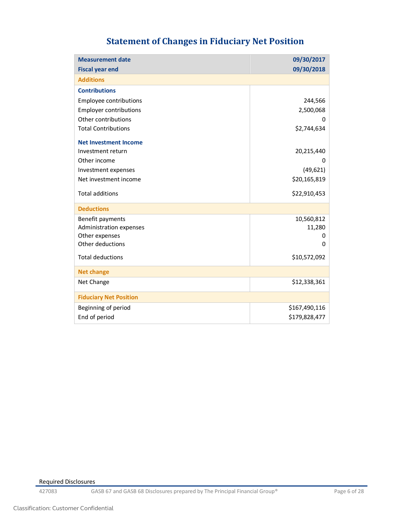# **Statement of Changes in Fiduciary Net Position**

<span id="page-5-0"></span>

| <b>Measurement date</b>       | 09/30/2017    |
|-------------------------------|---------------|
| <b>Fiscal year end</b>        | 09/30/2018    |
| <b>Additions</b>              |               |
| <b>Contributions</b>          |               |
| Employee contributions        | 244,566       |
| <b>Employer contributions</b> | 2,500,068     |
| Other contributions           |               |
| <b>Total Contributions</b>    | \$2,744,634   |
| <b>Net Investment Income</b>  |               |
| Investment return             | 20,215,440    |
| Other income                  | O             |
| Investment expenses           | (49, 621)     |
| Net investment income         | \$20,165,819  |
| <b>Total additions</b>        | \$22,910,453  |
| <b>Deductions</b>             |               |
| Benefit payments              | 10,560,812    |
| Administration expenses       | 11,280        |
| Other expenses                | Ω             |
| Other deductions              |               |
| <b>Total deductions</b>       | \$10,572,092  |
| <b>Net change</b>             |               |
| Net Change                    | \$12,338,361  |
| <b>Fiduciary Net Position</b> |               |
| Beginning of period           | \$167,490,116 |
| End of period                 | \$179,828,477 |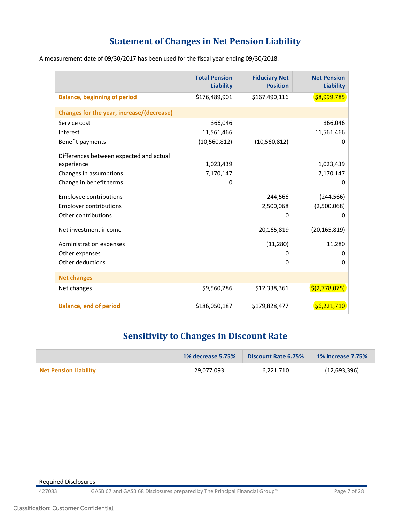## **Statement of Changes in Net Pension Liability**

<span id="page-6-0"></span>A measurement date of 09/30/2017 has been used for the fiscal year ending 09/30/2018.

|                                                  | <b>Total Pension</b><br>Liability | <b>Fiduciary Net</b><br><b>Position</b> | <b>Net Pension</b><br><b>Liability</b> |
|--------------------------------------------------|-----------------------------------|-----------------------------------------|----------------------------------------|
| <b>Balance, beginning of period</b>              | \$176,489,901                     | \$167,490,116                           | \$8,999,785                            |
| <b>Changes for the year, increase/(decrease)</b> |                                   |                                         |                                        |
| Service cost                                     | 366,046                           |                                         | 366,046                                |
| Interest                                         | 11,561,466                        |                                         | 11,561,466                             |
| Benefit payments                                 | (10, 560, 812)                    | (10, 560, 812)                          | 0                                      |
| Differences between expected and actual          |                                   |                                         |                                        |
| experience                                       | 1,023,439                         |                                         | 1,023,439                              |
| Changes in assumptions                           | 7,170,147                         |                                         | 7,170,147                              |
| Change in benefit terms                          | 0                                 |                                         | 0                                      |
| <b>Employee contributions</b>                    |                                   | 244,566                                 | (244, 566)                             |
| <b>Employer contributions</b>                    |                                   | 2,500,068                               | (2,500,068)                            |
| Other contributions                              |                                   | $\Omega$                                | 0                                      |
|                                                  |                                   |                                         |                                        |
| Net investment income                            |                                   | 20,165,819                              | (20, 165, 819)                         |
| Administration expenses                          |                                   | (11, 280)                               | 11,280                                 |
| Other expenses                                   |                                   | O                                       | 0                                      |
| Other deductions                                 |                                   | $\Omega$                                | 0                                      |
| <b>Net changes</b>                               |                                   |                                         |                                        |
| Net changes                                      | \$9,560,286                       | \$12,338,361                            | \$(2,778,075)                          |
| <b>Balance, end of period</b>                    | \$186,050,187                     | \$179,828,477                           | \$6,221,710                            |

## **Sensitivity to Changes in Discount Rate**

<span id="page-6-1"></span>

|                       | <b>1% decrease 5.75%</b> | Discount Rate 6.75% | <b>1% increase 7.75%</b> |
|-----------------------|--------------------------|---------------------|--------------------------|
| Net Pension Liability | 29.077.093               | 6.221.710           | (12,693,396)             |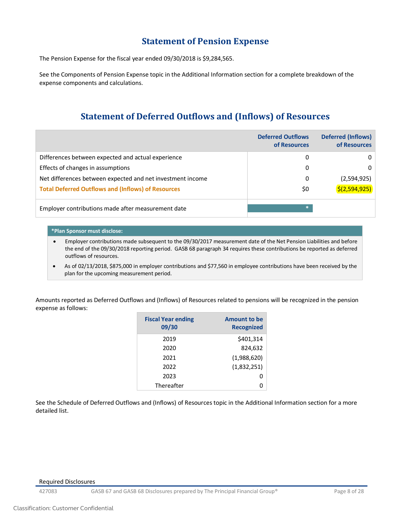### **Statement of Pension Expense**

<span id="page-7-0"></span>The Pension Expense for the fiscal year ended 09/30/2018 is \$9,284,565.

See the Components of Pension Expense topic in the Additional Information section for a complete breakdown of the expense components and calculations.

## **Statement of Deferred Outflows and (Inflows) of Resources**

<span id="page-7-1"></span>

|                                                            | <b>Deferred Outflows</b><br>of Resources | <b>Deferred (Inflows)</b><br>of Resources |
|------------------------------------------------------------|------------------------------------------|-------------------------------------------|
| Differences between expected and actual experience         | 0                                        | 0                                         |
| Effects of changes in assumptions                          | 0                                        | 0                                         |
| Net differences between expected and net investment income | 0                                        | (2,594,925)                               |
| <b>Total Deferred Outflows and (Inflows) of Resources</b>  | \$0                                      | 5(2,594,925)                              |
| Employer contributions made after measurement date         | *.                                       |                                           |

#### **\*Plan Sponsor must disclose:**

• Employer contributions made subsequent to the 09/30/2017 measurement date of the Net Pension Liabilities and before the end of the 09/30/2018 reporting period. GASB 68 paragraph 34 requires these contributions be reported as deferred outflows of resources.

• As of 02/13/2018, \$875,000 in employer contributions and \$77,560 in employee contributions have been received by the plan for the upcoming measurement period.

Amounts reported as Deferred Outflows and (Inflows) of Resources related to pensions will be recognized in the pension expense as follows:

| <b>Fiscal Year ending</b><br>09/30 | <b>Amount to be</b><br><b>Recognized</b> |
|------------------------------------|------------------------------------------|
| 2019                               | \$401,314                                |
| 2020                               | 824,632                                  |
| 2021                               | (1,988,620)                              |
| 2022                               | (1,832,251)                              |
| 2023                               |                                          |
| Thereafter                         |                                          |

See the Schedule of Deferred Outflows and (Inflows) of Resources topic in the Additional Information section for a more detailed list.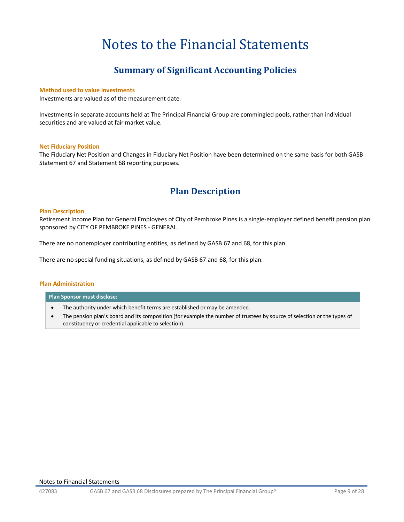# Notes to the Financial Statements

## **Summary of Significant Accounting Policies**

#### <span id="page-8-1"></span><span id="page-8-0"></span>**Method used to value investments**

Investments are valued as of the measurement date.

Investments in separate accounts held at The Principal Financial Group are commingled pools, rather than individual securities and are valued at fair market value.

#### **Net Fiduciary Position**

The Fiduciary Net Position and Changes in Fiduciary Net Position have been determined on the same basis for both GASB Statement 67 and Statement 68 reporting purposes.

### **Plan Description**

#### <span id="page-8-2"></span>**Plan Description**

Retirement Income Plan for General Employees of City of Pembroke Pines is a single-employer defined benefit pension plan sponsored by CITY OF PEMBROKE PINES - GENERAL.

There are no nonemployer contributing entities, as defined by GASB 67 and 68, for this plan.

There are no special funding situations, as defined by GASB 67 and 68, for this plan.

#### **Plan Administration**

#### **Plan Sponsor must disclose:**

- The authority under which benefit terms are established or may be amended.
- The pension plan's board and its composition (for example the number of trustees by source of selection or the types of constituency or credential applicable to selection).

#### Notes to Financial Statements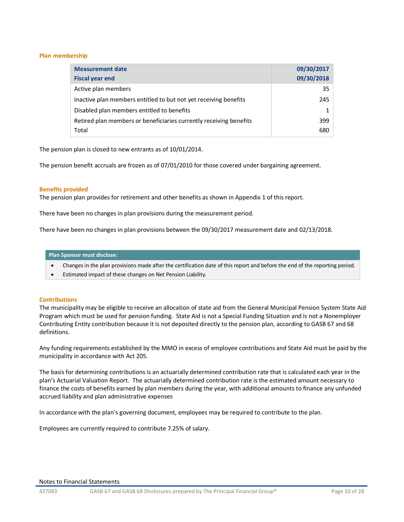#### **Plan membership**

| <b>Measurement date</b><br><b>Fiscal year end</b>                  | 09/30/2017<br>09/30/2018 |
|--------------------------------------------------------------------|--------------------------|
| Active plan members                                                | 35                       |
| Inactive plan members entitled to but not yet receiving benefits   | 245                      |
| Disabled plan members entitled to benefits                         |                          |
| Retired plan members or beneficiaries currently receiving benefits | 399                      |
| Total                                                              | 680                      |

The pension plan is closed to new entrants as of 10/01/2014.

The pension benefit accruals are frozen as of 07/01/2010 for those covered under bargaining agreement.

#### **Benefits provided**

The pension plan provides for retirement and other benefits as shown in Appendix 1 of this report.

There have been no changes in plan provisions during the measurement period.

There have been no changes in plan provisions between the 09/30/2017 measurement date and 02/13/2018.

#### **Plan Sponsor must disclose:**

- Changes in the plan provisions made after the certification date of this report and before the end of the reporting period.
- Estimated impact of these changes on Net Pension Liability.

#### **Contributions**

The municipality may be eligible to receive an allocation of state aid from the General Municipal Pension System State Aid Program which must be used for pension funding. State Aid is not a Special Funding Situation and is not a Nonemployer Contributing Entity contribution because it is not deposited directly to the pension plan, according to GASB 67 and 68 definitions.

Any funding requirements established by the MMO in excess of employee contributions and State Aid must be paid by the municipality in accordance with Act 205.

The basis for determining contributions is an actuarially determined contribution rate that is calculated each year in the plan's Actuarial Valuation Report. The actuarially determined contribution rate is the estimated amount necessary to finance the costs of benefits earned by plan members during the year, with additional amounts to finance any unfunded accrued liability and plan administrative expenses

In accordance with the plan's governing document, employees may be required to contribute to the plan.

Employees are currently required to contribute 7.25% of salary.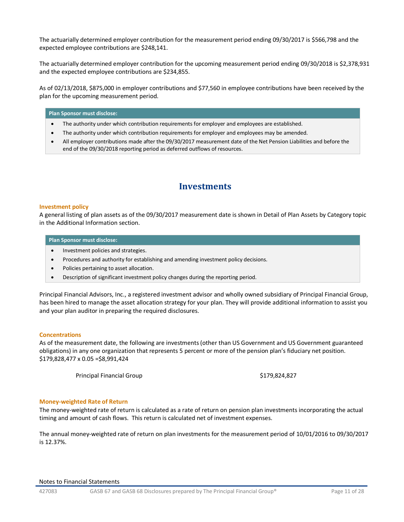The actuarially determined employer contribution for the measurement period ending 09/30/2017 is \$566,798 and the expected employee contributions are \$248,141.

The actuarially determined employer contribution for the upcoming measurement period ending 09/30/2018 is \$2,378,931 and the expected employee contributions are \$234,855.

As of 02/13/2018, \$875,000 in employer contributions and \$77,560 in employee contributions have been received by the plan for the upcoming measurement period.

#### **Plan Sponsor must disclose:**

- The authority under which contribution requirements for employer and employees are established.
- The authority under which contribution requirements for employer and employees may be amended.
- All employer contributions made after the 09/30/2017 measurement date of the Net Pension Liabilities and before the end of the 09/30/2018 reporting period as deferred outflows of resources.

### **Investments**

#### <span id="page-10-0"></span>**Investment policy**

A general listing of plan assets as of the 09/30/2017 measurement date is shown in Detail of Plan Assets by Category topic in the Additional Information section.

#### **Plan Sponsor must disclose:**

- Investment policies and strategies.
- Procedures and authority for establishing and amending investment policy decisions.
- Policies pertaining to asset allocation.
- Description of significant investment policy changes during the reporting period.

Principal Financial Advisors, Inc., a registered investment advisor and wholly owned subsidiary of Principal Financial Group, has been hired to manage the asset allocation strategy for your plan. They will provide additional information to assist you and your plan auditor in preparing the required disclosures.

#### **Concentrations**

As of the measurement date, the following are investments (other than US Government and US Government guaranteed obligations) in any one organization that represents 5 percent or more of the pension plan's fiduciary net position. \$179,828,477 x 0.05 =\$8,991,424

Principal Financial Group **\$179,824,827** 

#### **Money-weighted Rate of Return**

The money-weighted rate of return is calculated as a rate of return on pension plan investments incorporating the actual timing and amount of cash flows. This return is calculated net of investment expenses.

The annual money-weighted rate of return on plan investments for the measurement period of 10/01/2016 to 09/30/2017 is 12.37%.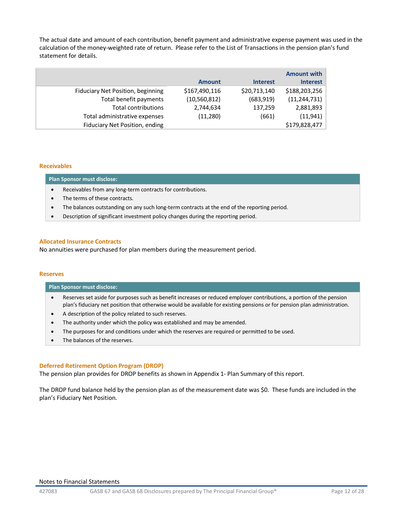The actual date and amount of each contribution, benefit payment and administrative expense payment was used in the calculation of the money-weighted rate of return. Please refer to the List of Transactions in the pension plan's fund statement for details.

|                                   |                |                 | <b>Amount with</b> |
|-----------------------------------|----------------|-----------------|--------------------|
|                                   | <b>Amount</b>  | <b>Interest</b> | <b>Interest</b>    |
| Fiduciary Net Position, beginning | \$167,490,116  | \$20,713,140    | \$188,203,256      |
| Total benefit payments            | (10, 560, 812) | (683, 919)      | (11, 244, 731)     |
| Total contributions               | 2,744,634      | 137,259         | 2,881,893          |
| Total administrative expenses     | (11,280)       | (661)           | (11, 941)          |
| Fiduciary Net Position, ending    |                |                 | \$179,828,477      |

#### **Receivables**

**Plan Sponsor must disclose:**

- Receivables from any long-term contracts for contributions.
- The terms of these contracts.
- The balances outstanding on any such long-term contracts at the end of the reporting period.
- Description of significant investment policy changes during the reporting period.

#### **Allocated Insurance Contracts**

No annuities were purchased for plan members during the measurement period.

#### **Reserves**

#### **Plan Sponsor must disclose:**

- Reserves set aside for purposes such as benefit increases or reduced employer contributions, a portion of the pension plan's fiduciary net position that otherwise would be available for existing pensions or for pension plan administration.
- A description of the policy related to such reserves.
- The authority under which the policy was established and may be amended.
- The purposes for and conditions under which the reserves are required or permitted to be used.
- The balances of the reserves.

#### **Deferred Retirement Option Program (DROP)**

The pension plan provides for DROP benefits as shown in Appendix 1- Plan Summary of this report.

The DROP fund balance held by the pension plan as of the measurement date was \$0. These funds are included in the plan's Fiduciary Net Position.

#### Notes to Financial Statements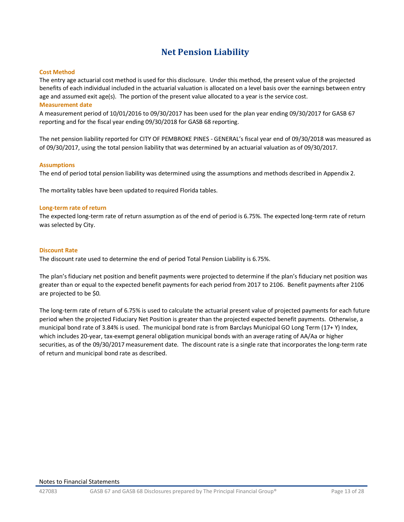## **Net Pension Liability**

#### <span id="page-12-0"></span>**Cost Method**

The entry age actuarial cost method is used for this disclosure. Under this method, the present value of the projected benefits of each individual included in the actuarial valuation is allocated on a level basis over the earnings between entry age and assumed exit age(s). The portion of the present value allocated to a year is the service cost.

#### **Measurement date**

A measurement period of 10/01/2016 to 09/30/2017 has been used for the plan year ending 09/30/2017 for GASB 67 reporting and for the fiscal year ending 09/30/2018 for GASB 68 reporting.

The net pension liability reported for CITY OF PEMBROKE PINES - GENERAL's fiscal year end of 09/30/2018 was measured as of 09/30/2017, using the total pension liability that was determined by an actuarial valuation as of 09/30/2017.

#### **Assumptions**

The end of period total pension liability was determined using the assumptions and methods described in Appendix 2.

The mortality tables have been updated to required Florida tables.

#### **Long-term rate of return**

The expected long-term rate of return assumption as of the end of period is 6.75%. The expected long-term rate of return was selected by City.

#### **Discount Rate**

The discount rate used to determine the end of period Total Pension Liability is 6.75%.

The plan's fiduciary net position and benefit payments were projected to determine if the plan's fiduciary net position was greater than or equal to the expected benefit payments for each period from 2017 to 2106. Benefit payments after 2106 are projected to be \$0.

The long-term rate of return of 6.75% is used to calculate the actuarial present value of projected payments for each future period when the projected Fiduciary Net Position is greater than the projected expected benefit payments. Otherwise, a municipal bond rate of 3.84% is used. The municipal bond rate is from Barclays Municipal GO Long Term (17+ Y) Index, which includes 20-year, tax-exempt general obligation municipal bonds with an average rating of AA/Aa or higher securities, as of the 09/30/2017 measurement date. The discount rate is a single rate that incorporates the long-term rate of return and municipal bond rate as described.

#### Notes to Financial Statements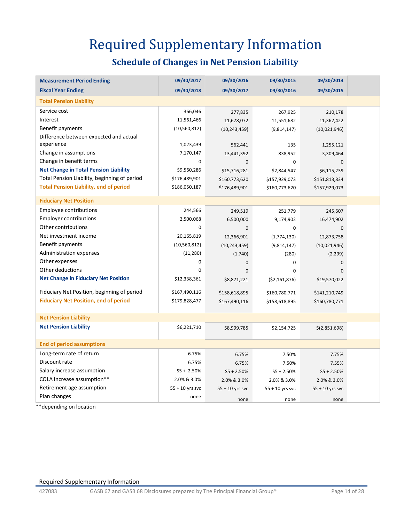# Required Supplementary Information

# **Schedule of Changes in Net Pension Liability**

<span id="page-13-1"></span><span id="page-13-0"></span>

| <b>Measurement Period Ending</b>              | 09/30/2017        | 09/30/2016        | 09/30/2015        | 09/30/2014        |  |
|-----------------------------------------------|-------------------|-------------------|-------------------|-------------------|--|
| <b>Fiscal Year Ending</b>                     | 09/30/2018        | 09/30/2017        | 09/30/2016        | 09/30/2015        |  |
| <b>Total Pension Liability</b>                |                   |                   |                   |                   |  |
| Service cost                                  | 366,046           | 277,835           | 267,925           | 210,178           |  |
| Interest                                      | 11,561,466        | 11,678,072        | 11,551,682        | 11,362,422        |  |
| Benefit payments                              | (10, 560, 812)    | (10, 243, 459)    | (9,814,147)       | (10,021,946)      |  |
| Difference between expected and actual        |                   |                   |                   |                   |  |
| experience                                    | 1,023,439         | 562,441           | 135               | 1,255,121         |  |
| Change in assumptions                         | 7,170,147         | 13,441,392        | 838,952           | 3,309,464         |  |
| Change in benefit terms                       | 0                 | $\mathbf 0$       | 0                 | 0                 |  |
| <b>Net Change in Total Pension Liability</b>  | \$9,560,286       | \$15,716,281      | \$2,844,547       | \$6,115,239       |  |
| Total Pension Liability, beginning of period  | \$176,489,901     | \$160,773,620     | \$157,929,073     | \$151,813,834     |  |
| <b>Total Pension Liability, end of period</b> | \$186,050,187     | \$176,489,901     | \$160,773,620     | \$157,929,073     |  |
| <b>Fiduciary Net Position</b>                 |                   |                   |                   |                   |  |
| Employee contributions                        | 244,566           | 249,519           | 251,779           | 245,607           |  |
| <b>Employer contributions</b>                 | 2,500,068         | 6,500,000         | 9,174,902         | 16,474,902        |  |
| Other contributions                           | 0                 | $\mathbf 0$       | 0                 | 0                 |  |
| Net investment income                         | 20,165,819        | 12,366,901        | (1,774,130)       | 12,873,758        |  |
| Benefit payments                              | (10, 560, 812)    | (10, 243, 459)    | (9,814,147)       | (10,021,946)      |  |
| <b>Administration expenses</b>                | (11,280)          | (1,740)           | (280)             | (2, 299)          |  |
| Other expenses                                | $\mathbf 0$       | 0                 | 0                 | $\mathbf 0$       |  |
| Other deductions                              | $\Omega$          | $\Omega$          | 0                 | 0                 |  |
| <b>Net Change in Fiduciary Net Position</b>   | \$12,338,361      | \$8,871,221       | ( \$2,161,876)    | \$19,570,022      |  |
| Fiduciary Net Position, beginning of period   | \$167,490,116     | \$158,618,895     | \$160,780,771     | \$141,210,749     |  |
| <b>Fiduciary Net Position, end of period</b>  | \$179,828,477     | \$167,490,116     | \$158,618,895     | \$160,780,771     |  |
| <b>Net Pension Liability</b>                  |                   |                   |                   |                   |  |
| <b>Net Pension Liability</b>                  | \$6,221,710       | \$8,999,785       | \$2,154,725       | \$(2,851,698)     |  |
| <b>End of period assumptions</b>              |                   |                   |                   |                   |  |
| Long-term rate of return                      | 6.75%             | 6.75%             | 7.50%             | 7.75%             |  |
| Discount rate                                 | 6.75%             | 6.75%             | 7.50%             | 7.55%             |  |
| Salary increase assumption                    | $S5 + 2.50%$      | $S5 + 2.50%$      | $S5 + 2.50%$      | $S5 + 2.50%$      |  |
| COLA increase assumption**                    | 2.0% & 3.0%       | 2.0% & 3.0%       | 2.0% & 3.0%       | 2.0% & 3.0%       |  |
| Retirement age assumption                     | $55 + 10$ yrs svc | $55 + 10$ yrs svc | $55 + 10$ yrs svc | $55 + 10$ yrs svc |  |
| Plan changes                                  | none              | none              | none              | none              |  |

\*\*depending on location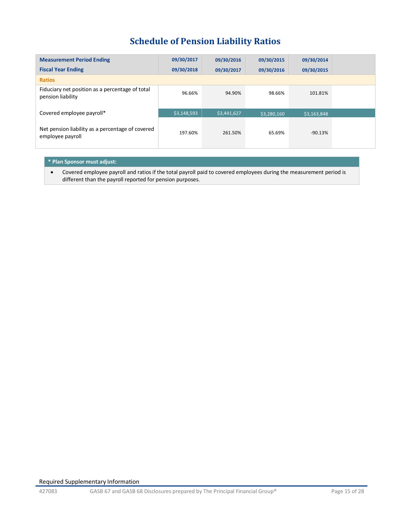## **Schedule of Pension Liability Ratios**

<span id="page-14-0"></span>

| <b>Measurement Period Ending</b>                                     | 09/30/2017  | 09/30/2016  | 09/30/2015  | 09/30/2014  |
|----------------------------------------------------------------------|-------------|-------------|-------------|-------------|
| <b>Fiscal Year Ending</b>                                            | 09/30/2018  | 09/30/2017  | 09/30/2016  | 09/30/2015  |
| <b>Ratios</b>                                                        |             |             |             |             |
| Fiduciary net position as a percentage of total<br>pension liability | 96.66%      | 94.90%      | 98.66%      | 101.81%     |
| Covered employee payroll*                                            | \$3,148,593 | \$3,441,627 | \$3,280,160 | \$3,163,848 |
| Net pension liability as a percentage of covered<br>employee payroll | 197.60%     | 261.50%     | 65.69%      | $-90.13%$   |

#### **\* Plan Sponsor must adjust:**

• Covered employee payroll and ratios if the total payroll paid to covered employees during the measurement period is different than the payroll reported for pension purposes.

Required Supplementary Information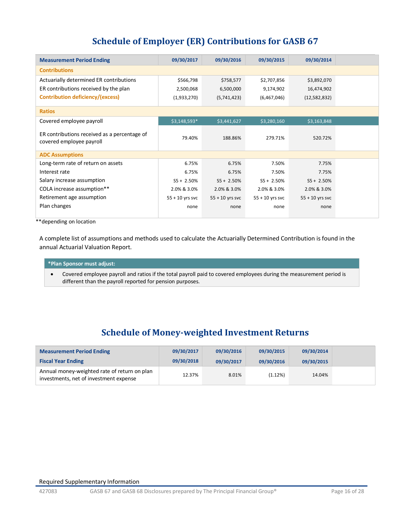## **Schedule of Employer (ER) Contributions for GASB 67**

<span id="page-15-0"></span>

| 09/30/2014        |
|-------------------|
|                   |
|                   |
| \$3,892,070       |
| 16,474,902        |
| (12,582,832)      |
|                   |
| \$3,163,848       |
| 520.72%           |
|                   |
| 7.75%             |
| 7.75%             |
| $S5 + 2.50\%$     |
| 2.0% & 3.0%       |
| $55 + 10$ yrs svc |
| none              |
|                   |

\*\*depending on location

A complete list of assumptions and methods used to calculate the Actuarially Determined Contribution is found in the annual Actuarial Valuation Report.

#### **\*Plan Sponsor must adjust:**

• Covered employee payroll and ratios if the total payroll paid to covered employees during the measurement period is different than the payroll reported for pension purposes.

### **Schedule of Money-weighted Investment Returns**

<span id="page-15-1"></span>

| <b>Measurement Period Ending</b>                                                       | 09/30/2017 | 09/30/2016 | 09/30/2015 | 09/30/2014 |  |
|----------------------------------------------------------------------------------------|------------|------------|------------|------------|--|
| <b>Fiscal Year Ending</b>                                                              | 09/30/2018 | 09/30/2017 | 09/30/2016 | 09/30/2015 |  |
| Annual money-weighted rate of return on plan<br>investments, net of investment expense | 12.37%     | 8.01%      | (1.12%)    | 14.04%     |  |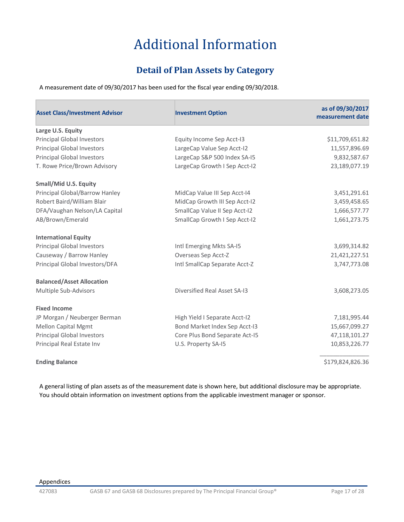# Additional Information

## **Detail of Plan Assets by Category**

<span id="page-16-1"></span><span id="page-16-0"></span>A measurement date of 09/30/2017 has been used for the fiscal year ending 09/30/2018.

| <b>Asset Class/Investment Advisor</b> | <b>Investment Option</b>       | as of 09/30/2017<br>measurement date |
|---------------------------------------|--------------------------------|--------------------------------------|
| Large U.S. Equity                     |                                |                                      |
| <b>Principal Global Investors</b>     | Equity Income Sep Acct-I3      | \$11,709,651.82                      |
| <b>Principal Global Investors</b>     | LargeCap Value Sep Acct-I2     | 11,557,896.69                        |
| <b>Principal Global Investors</b>     | LargeCap S&P 500 Index SA-I5   | 9,832,587.67                         |
| T. Rowe Price/Brown Advisory          | LargeCap Growth I Sep Acct-I2  | 23,189,077.19                        |
| <b>Small/Mid U.S. Equity</b>          |                                |                                      |
| Principal Global/Barrow Hanley        | MidCap Value III Sep Acct-14   | 3,451,291.61                         |
| Robert Baird/William Blair            | MidCap Growth III Sep Acct-12  | 3,459,458.65                         |
| DFA/Vaughan Nelson/LA Capital         | SmallCap Value II Sep Acct-I2  | 1,666,577.77                         |
| AB/Brown/Emerald                      | SmallCap Growth I Sep Acct-I2  | 1,661,273.75                         |
| <b>International Equity</b>           |                                |                                      |
| <b>Principal Global Investors</b>     | Intl Emerging Mkts SA-I5       | 3,699,314.82                         |
| Causeway / Barrow Hanley              | Overseas Sep Acct-Z            | 21,421,227.51                        |
| Principal Global Investors/DFA        | Intl SmallCap Separate Acct-Z  | 3,747,773.08                         |
| <b>Balanced/Asset Allocation</b>      |                                |                                      |
| Multiple Sub-Advisors                 | Diversified Real Asset SA-13   | 3,608,273.05                         |
| <b>Fixed Income</b>                   |                                |                                      |
| JP Morgan / Neuberger Berman          | High Yield I Separate Acct-12  | 7,181,995.44                         |
| <b>Mellon Capital Mgmt</b>            | Bond Market Index Sep Acct-I3  | 15,667,099.27                        |
| <b>Principal Global Investors</b>     | Core Plus Bond Separate Act-15 | 47,118,101.27                        |
| Principal Real Estate Inv             | U.S. Property SA-I5            | 10,853,226.77                        |
| <b>Ending Balance</b>                 |                                | \$179,824,826.36                     |

A general listing of plan assets as of the measurement date is shown here, but additional disclosure may be appropriate. You should obtain information on investment options from the applicable investment manager or sponsor.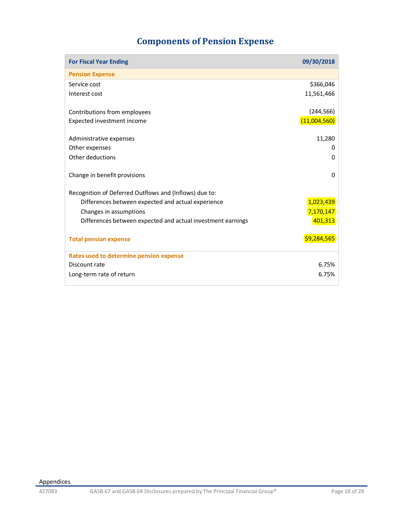# **Components of Pension Expense**

<span id="page-17-0"></span>

| <b>For Fiscal Year Ending</b>                               | 09/30/2018   |
|-------------------------------------------------------------|--------------|
| <b>Pension Expense</b>                                      |              |
| Service cost                                                | \$366,046    |
| Interest cost                                               | 11,561,466   |
| Contributions from employees                                | (244, 566)   |
| Expected investment income                                  | (11,004,560) |
| Administrative expenses                                     | 11,280       |
| Other expenses                                              | 0            |
| Other deductions                                            | $\Omega$     |
| Change in benefit provisions                                | $\Omega$     |
| Recognition of Deferred Outflows and (Inflows) due to:      |              |
| Differences between expected and actual experience          | 1,023,439    |
| Changes in assumptions                                      | 7,170,147    |
| Differences between expected and actual investment earnings | 401,313      |
| <b>Total pension expense</b>                                | \$9,284,565  |
| Rates used to determine pension expense                     |              |
| Discount rate                                               | 6.75%        |
| Long-term rate of return                                    | 6.75%        |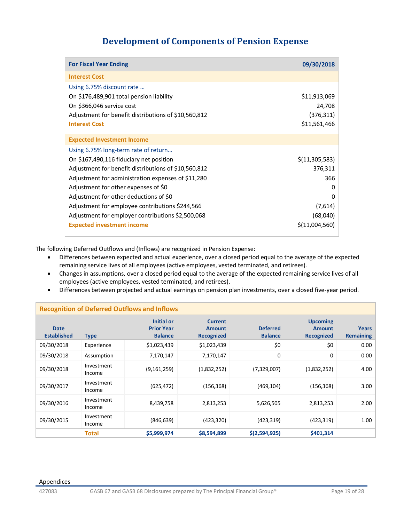## **Development of Components of Pension Expense**

<span id="page-18-0"></span>

| <b>For Fiscal Year Ending</b>                        | 09/30/2018     |
|------------------------------------------------------|----------------|
| <b>Interest Cost</b>                                 |                |
| Using 6.75% discount rate                            |                |
| On \$176,489,901 total pension liability             | \$11,913,069   |
| On \$366,046 service cost                            | 24,708         |
| Adjustment for benefit distributions of \$10,560,812 | (376, 311)     |
| <b>Interest Cost</b>                                 | \$11,561,466   |
| <b>Expected Investment Income</b>                    |                |
| Using 6.75% long-term rate of return                 |                |
| On \$167,490,116 fiduciary net position              | \$(11,305,583) |
| Adjustment for benefit distributions of \$10,560,812 | 376,311        |
| Adjustment for administration expenses of \$11,280   | 366            |
| Adjustment for other expenses of \$0                 | 0              |
| Adjustment for other deductions of \$0               | O              |
| Adjustment for employee contributions \$244,566      | (7,614)        |
| Adjustment for employer contributions \$2,500,068    | (68,040)       |
| <b>Expected investment income</b>                    | \$(11,004,560) |

The following Deferred Outflows and (Inflows) are recognized in Pension Expense:

- Differences between expected and actual experience, over a closed period equal to the average of the expected remaining service lives of all employees (active employees, vested terminated, and retirees).
- Changes in assumptions, over a closed period equal to the average of the expected remaining service lives of all employees (active employees, vested terminated, and retirees).
- Differences between projected and actual earnings on pension plan investments, over a closed five-year period.

| <b>Recognition of Deferred Outflows and Inflows</b> |                      |                                                          |                                                      |                                   |                                                       |                                  |
|-----------------------------------------------------|----------------------|----------------------------------------------------------|------------------------------------------------------|-----------------------------------|-------------------------------------------------------|----------------------------------|
| <b>Date</b><br><b>Established</b>                   | <b>Type</b>          | <b>Initial or</b><br><b>Prior Year</b><br><b>Balance</b> | <b>Current</b><br><b>Amount</b><br><b>Recognized</b> | <b>Deferred</b><br><b>Balance</b> | <b>Upcoming</b><br><b>Amount</b><br><b>Recognized</b> | <b>Years</b><br><b>Remaining</b> |
| 09/30/2018                                          | Experience           | \$1,023,439                                              | \$1,023,439                                          | \$0                               | \$0                                                   | 0.00                             |
| 09/30/2018                                          | Assumption           | 7,170,147                                                | 7,170,147                                            | 0                                 | 0                                                     | 0.00                             |
| 09/30/2018                                          | Investment<br>Income | (9, 161, 259)                                            | (1,832,252)                                          | (7,329,007)                       | (1,832,252)                                           | 4.00                             |
| 09/30/2017                                          | Investment<br>Income | (625, 472)                                               | (156, 368)                                           | (469, 104)                        | (156, 368)                                            | 3.00                             |
| 09/30/2016                                          | Investment<br>Income | 8,439,758                                                | 2,813,253                                            | 5,626,505                         | 2,813,253                                             | 2.00                             |
| 09/30/2015                                          | Investment<br>Income | (846, 639)                                               | (423,320)                                            | (423, 319)                        | (423,319)                                             | 1.00                             |
|                                                     | Total                | \$5,999,974                                              | \$8,594,899                                          | \$(2,594,925)                     | \$401,314                                             |                                  |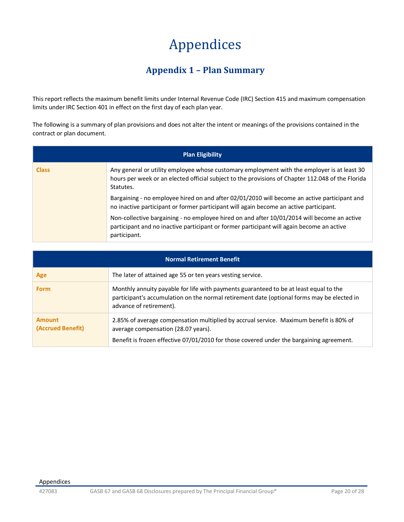# Appendices

## **Appendix 1 – Plan Summary**

<span id="page-19-1"></span><span id="page-19-0"></span>This report reflects the maximum benefit limits under Internal Revenue Code (IRC) Section 415 and maximum compensation limits under IRC Section 401 in effect on the first day of each plan year.

The following is a summary of plan provisions and does not alter the intent or meanings of the provisions contained in the contract or plan document.

| <b>Plan Eligibility</b> |                                                                                                                                                                                                               |  |
|-------------------------|---------------------------------------------------------------------------------------------------------------------------------------------------------------------------------------------------------------|--|
| <b>Class</b>            | Any general or utility employee whose customary employment with the employer is at least 30<br>hours per week or an elected official subject to the provisions of Chapter 112.048 of the Florida<br>Statutes. |  |
|                         | Bargaining - no employee hired on and after 02/01/2010 will become an active participant and<br>no inactive participant or former participant will again become an active participant.                        |  |
|                         | Non-collective bargaining - no employee hired on and after 10/01/2014 will become an active<br>participant and no inactive participant or former participant will again become an active<br>participant.      |  |

| <b>Normal Retirement Benefit</b>   |                                                                                                                                                                                                                           |  |
|------------------------------------|---------------------------------------------------------------------------------------------------------------------------------------------------------------------------------------------------------------------------|--|
| Age                                | The later of attained age 55 or ten years vesting service.                                                                                                                                                                |  |
| <b>Form</b>                        | Monthly annuity payable for life with payments guaranteed to be at least equal to the<br>participant's accumulation on the normal retirement date (optional forms may be elected in<br>advance of retirement).            |  |
| <b>Amount</b><br>(Accrued Benefit) | 2.85% of average compensation multiplied by accrual service. Maximum benefit is 80% of<br>average compensation (28.07 years).<br>Benefit is frozen effective 07/01/2010 for those covered under the bargaining agreement. |  |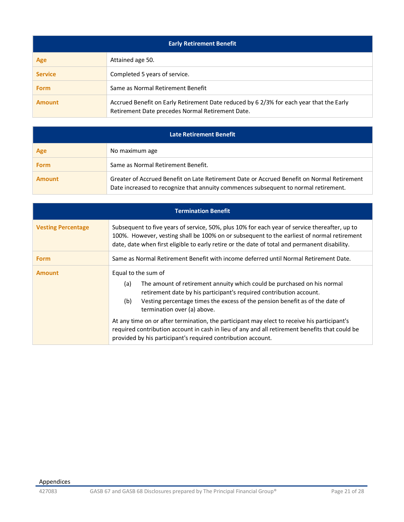| <b>Early Retirement Benefit</b> |                                                                                                                                             |  |
|---------------------------------|---------------------------------------------------------------------------------------------------------------------------------------------|--|
| Age                             | Attained age 50.                                                                                                                            |  |
| <b>Service</b>                  | Completed 5 years of service.                                                                                                               |  |
| <b>Form</b>                     | Same as Normal Retirement Benefit                                                                                                           |  |
| <b>Amount</b>                   | Accrued Benefit on Early Retirement Date reduced by 6 2/3% for each year that the Early<br>Retirement Date precedes Normal Retirement Date. |  |

| Late Retirement Benefit |                                                                                                                                                                                   |
|-------------------------|-----------------------------------------------------------------------------------------------------------------------------------------------------------------------------------|
| Age                     | No maximum age                                                                                                                                                                    |
| <b>Form</b>             | Same as Normal Retirement Benefit.                                                                                                                                                |
| <b>Amount</b>           | Greater of Accrued Benefit on Late Retirement Date or Accrued Benefit on Normal Retirement<br>Date increased to recognize that annuity commences subsequent to normal retirement. |

| <b>Termination Benefit</b> |                                                                                                                                                                                                                                                                                                                                                                                                                                                                                                                                                                     |  |
|----------------------------|---------------------------------------------------------------------------------------------------------------------------------------------------------------------------------------------------------------------------------------------------------------------------------------------------------------------------------------------------------------------------------------------------------------------------------------------------------------------------------------------------------------------------------------------------------------------|--|
| <b>Vesting Percentage</b>  | Subsequent to five years of service, 50%, plus 10% for each year of service thereafter, up to<br>100%. However, vesting shall be 100% on or subsequent to the earliest of normal retirement<br>date, date when first eligible to early retire or the date of total and permanent disability.                                                                                                                                                                                                                                                                        |  |
| <b>Form</b>                | Same as Normal Retirement Benefit with income deferred until Normal Retirement Date.                                                                                                                                                                                                                                                                                                                                                                                                                                                                                |  |
| <b>Amount</b>              | Equal to the sum of<br>The amount of retirement annuity which could be purchased on his normal<br>(a)<br>retirement date by his participant's required contribution account.<br>Vesting percentage times the excess of the pension benefit as of the date of<br>(b)<br>termination over (a) above.<br>At any time on or after termination, the participant may elect to receive his participant's<br>required contribution account in cash in lieu of any and all retirement benefits that could be<br>provided by his participant's required contribution account. |  |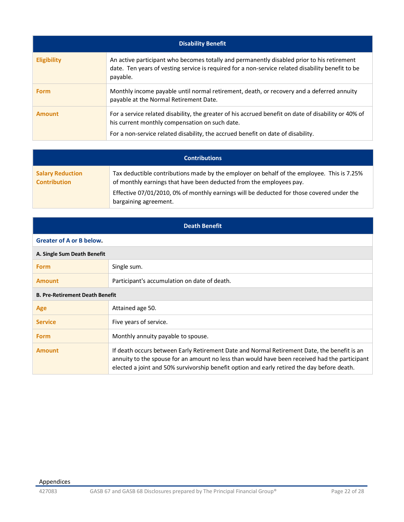| <b>Disability Benefit</b>                                                                                                                                                                                                                  |  |  |
|--------------------------------------------------------------------------------------------------------------------------------------------------------------------------------------------------------------------------------------------|--|--|
| An active participant who becomes totally and permanently disabled prior to his retirement<br>date. Ten years of vesting service is required for a non-service related disability benefit to be<br>payable.                                |  |  |
| Monthly income payable until normal retirement, death, or recovery and a deferred annuity<br>payable at the Normal Retirement Date.                                                                                                        |  |  |
| For a service related disability, the greater of his accrued benefit on date of disability or 40% of<br>his current monthly compensation on such date.<br>For a non-service related disability, the accrued benefit on date of disability. |  |  |
|                                                                                                                                                                                                                                            |  |  |

| <b>Contributions</b>                           |                                                                                                                                                                   |  |
|------------------------------------------------|-------------------------------------------------------------------------------------------------------------------------------------------------------------------|--|
| <b>Salary Reduction</b><br><b>Contribution</b> | Tax deductible contributions made by the employer on behalf of the employee. This is 7.25%<br>of monthly earnings that have been deducted from the employees pay. |  |
|                                                | Effective 07/01/2010, 0% of monthly earnings will be deducted for those covered under the<br>bargaining agreement.                                                |  |

| <b>Death Benefit</b>                   |                                                                                                                                                                                                                                                                                             |  |
|----------------------------------------|---------------------------------------------------------------------------------------------------------------------------------------------------------------------------------------------------------------------------------------------------------------------------------------------|--|
| <b>Greater of A or B below.</b>        |                                                                                                                                                                                                                                                                                             |  |
| A. Single Sum Death Benefit            |                                                                                                                                                                                                                                                                                             |  |
| <b>Form</b>                            | Single sum.                                                                                                                                                                                                                                                                                 |  |
| <b>Amount</b>                          | Participant's accumulation on date of death.                                                                                                                                                                                                                                                |  |
| <b>B. Pre-Retirement Death Benefit</b> |                                                                                                                                                                                                                                                                                             |  |
| Age                                    | Attained age 50.                                                                                                                                                                                                                                                                            |  |
| <b>Service</b>                         | Five years of service.                                                                                                                                                                                                                                                                      |  |
| <b>Form</b>                            | Monthly annuity payable to spouse.                                                                                                                                                                                                                                                          |  |
| <b>Amount</b>                          | If death occurs between Early Retirement Date and Normal Retirement Date, the benefit is an<br>annuity to the spouse for an amount no less than would have been received had the participant<br>elected a joint and 50% survivorship benefit option and early retired the day before death. |  |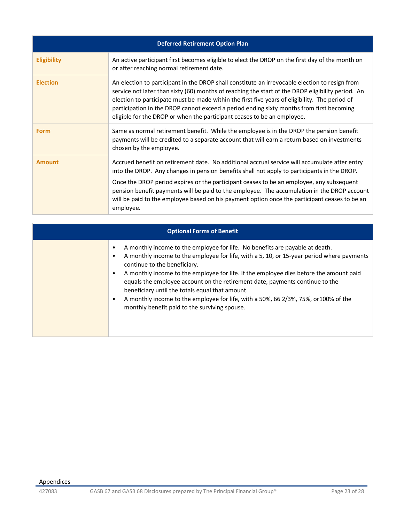| <b>Deferred Retirement Option Plan</b> |                                                                                                                                                                                                                                                                                                                                                                                                                                                                                                       |  |
|----------------------------------------|-------------------------------------------------------------------------------------------------------------------------------------------------------------------------------------------------------------------------------------------------------------------------------------------------------------------------------------------------------------------------------------------------------------------------------------------------------------------------------------------------------|--|
| <b>Eligibility</b>                     | An active participant first becomes eligible to elect the DROP on the first day of the month on<br>or after reaching normal retirement date.                                                                                                                                                                                                                                                                                                                                                          |  |
| <b>Election</b>                        | An election to participant in the DROP shall constitute an irrevocable election to resign from<br>service not later than sixty (60) months of reaching the start of the DROP eligibility period. An<br>election to participate must be made within the first five years of eligibility. The period of<br>participation in the DROP cannot exceed a period ending sixty months from first becoming<br>eligible for the DROP or when the participant ceases to be an employee.                          |  |
| <b>Form</b>                            | Same as normal retirement benefit. While the employee is in the DROP the pension benefit<br>payments will be credited to a separate account that will earn a return based on investments<br>chosen by the employee.                                                                                                                                                                                                                                                                                   |  |
| <b>Amount</b>                          | Accrued benefit on retirement date. No additional accrual service will accumulate after entry<br>into the DROP. Any changes in pension benefits shall not apply to participants in the DROP.<br>Once the DROP period expires or the participant ceases to be an employee, any subsequent<br>pension benefit payments will be paid to the employee. The accumulation in the DROP account<br>will be paid to the employee based on his payment option once the participant ceases to be an<br>employee. |  |

| <b>Optional Forms of Benefit</b> |                                                                                                                                                                                                                                                                                                                                                                                                                                                                                                                                                                                     |  |
|----------------------------------|-------------------------------------------------------------------------------------------------------------------------------------------------------------------------------------------------------------------------------------------------------------------------------------------------------------------------------------------------------------------------------------------------------------------------------------------------------------------------------------------------------------------------------------------------------------------------------------|--|
|                                  | A monthly income to the employee for life. No benefits are payable at death.<br>A monthly income to the employee for life, with a 5, 10, or 15-year period where payments<br>continue to the beneficiary.<br>A monthly income to the employee for life. If the employee dies before the amount paid<br>equals the employee account on the retirement date, payments continue to the<br>beneficiary until the totals equal that amount.<br>A monthly income to the employee for life, with a 50%, 66 2/3%, 75%, or 100% of the<br>٠<br>monthly benefit paid to the surviving spouse. |  |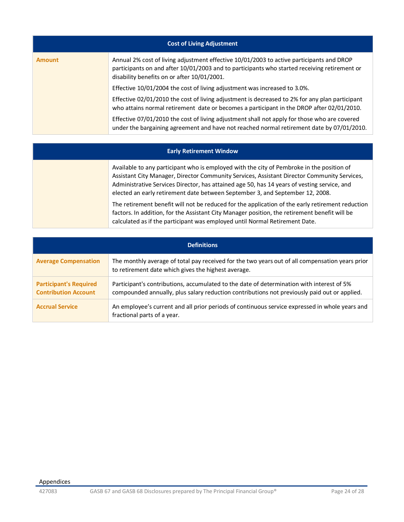| <b>Cost of Living Adjustment</b> |                                                                                                                                                                                                                                         |  |
|----------------------------------|-----------------------------------------------------------------------------------------------------------------------------------------------------------------------------------------------------------------------------------------|--|
| <b>Amount</b>                    | Annual 2% cost of living adjustment effective 10/01/2003 to active participants and DROP<br>participants on and after 10/01/2003 and to participants who started receiving retirement or<br>disability benefits on or after 10/01/2001. |  |
|                                  | Effective 10/01/2004 the cost of living adjustment was increased to 3.0%.                                                                                                                                                               |  |
|                                  | Effective 02/01/2010 the cost of living adjustment is decreased to 2% for any plan participant<br>who attains normal retirement date or becomes a participant in the DROP after 02/01/2010.                                             |  |
|                                  | Effective 07/01/2010 the cost of living adjustment shall not apply for those who are covered<br>under the bargaining agreement and have not reached normal retirement date by 07/01/2010.                                               |  |

#### **Early Retirement Window**

Available to any participant who is employed with the city of Pembroke in the position of Assistant City Manager, Director Community Services, Assistant Director Community Services, Administrative Services Director, has attained age 50, has 14 years of vesting service, and elected an early retirement date between September 3, and September 12, 2008.

The retirement benefit will not be reduced for the application of the early retirement reduction factors. In addition, for the Assistant City Manager position, the retirement benefit will be calculated as if the participant was employed until Normal Retirement Date.

| <b>Definitions</b>                                           |                                                                                                                                                                                           |  |
|--------------------------------------------------------------|-------------------------------------------------------------------------------------------------------------------------------------------------------------------------------------------|--|
| <b>Average Compensation</b>                                  | The monthly average of total pay received for the two years out of all compensation years prior<br>to retirement date which gives the highest average.                                    |  |
| <b>Participant's Required</b><br><b>Contribution Account</b> | Participant's contributions, accumulated to the date of determination with interest of 5%<br>compounded annually, plus salary reduction contributions not previously paid out or applied. |  |
| <b>Accrual Service</b>                                       | An employee's current and all prior periods of continuous service expressed in whole years and<br>fractional parts of a year.                                                             |  |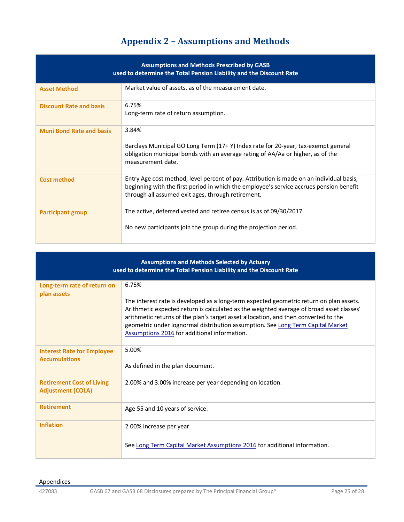# **Appendix 2 – Assumptions and Methods**

<span id="page-24-0"></span>

| <b>Assumptions and Methods Prescribed by GASB</b><br>used to determine the Total Pension Liability and the Discount Rate |                                                                                                                                                                                                                                           |  |
|--------------------------------------------------------------------------------------------------------------------------|-------------------------------------------------------------------------------------------------------------------------------------------------------------------------------------------------------------------------------------------|--|
| <b>Asset Method</b>                                                                                                      | Market value of assets, as of the measurement date.                                                                                                                                                                                       |  |
| <b>Discount Rate and basis</b>                                                                                           | 6.75%<br>Long-term rate of return assumption.                                                                                                                                                                                             |  |
| <b>Muni Bond Rate and basis</b>                                                                                          | 3.84%<br>Barclays Municipal GO Long Term (17+ Y) Index rate for 20-year, tax-exempt general<br>obligation municipal bonds with an average rating of AA/Aa or higher, as of the<br>measurement date.                                       |  |
| <b>Cost method</b>                                                                                                       | Entry Age cost method, level percent of pay. Attribution is made on an individual basis,<br>beginning with the first period in which the employee's service accrues pension benefit<br>through all assumed exit ages, through retirement. |  |
| <b>Participant group</b>                                                                                                 | The active, deferred vested and retiree census is as of 09/30/2017.<br>No new participants join the group during the projection period.                                                                                                   |  |

| <b>Assumptions and Methods Selected by Actuary</b><br>used to determine the Total Pension Liability and the Discount Rate |                                                                                                                                                                                                                                                                                                                                                                                                                        |  |
|---------------------------------------------------------------------------------------------------------------------------|------------------------------------------------------------------------------------------------------------------------------------------------------------------------------------------------------------------------------------------------------------------------------------------------------------------------------------------------------------------------------------------------------------------------|--|
| Long-term rate of return on<br>plan assets                                                                                | 6.75%<br>The interest rate is developed as a long-term expected geometric return on plan assets.<br>Arithmetic expected return is calculated as the weighted average of broad asset classes'<br>arithmetic returns of the plan's target asset allocation, and then converted to the<br>geometric under lognormal distribution assumption. See Long Term Capital Market<br>Assumptions 2016 for additional information. |  |
| <b>Interest Rate for Employee</b><br><b>Accumulations</b>                                                                 | 5.00%<br>As defined in the plan document.                                                                                                                                                                                                                                                                                                                                                                              |  |
| <b>Retirement Cost of Living</b><br><b>Adjustment (COLA)</b>                                                              | 2.00% and 3.00% increase per year depending on location.                                                                                                                                                                                                                                                                                                                                                               |  |
| <b>Retirement</b>                                                                                                         | Age 55 and 10 years of service.                                                                                                                                                                                                                                                                                                                                                                                        |  |
| <b>Inflation</b>                                                                                                          | 2.00% increase per year.<br>See Long Term Capital Market Assumptions 2016 for additional information.                                                                                                                                                                                                                                                                                                                  |  |

#### Appendices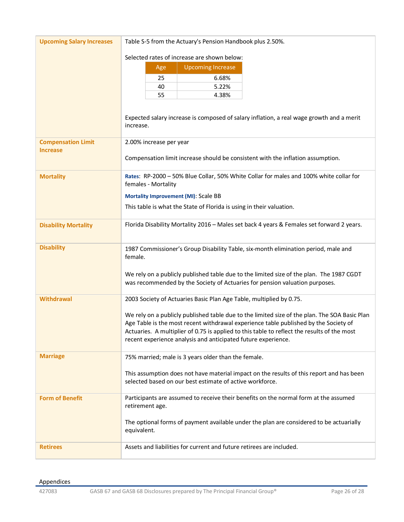| <b>Upcoming Salary Increases</b>             | Table S-5 from the Actuary's Pension Handbook plus 2.50%.                                                                                                                                                                                                                                                                                                                                                                    |  |  |
|----------------------------------------------|------------------------------------------------------------------------------------------------------------------------------------------------------------------------------------------------------------------------------------------------------------------------------------------------------------------------------------------------------------------------------------------------------------------------------|--|--|
|                                              | Selected rates of increase are shown below:<br><b>Upcoming Increase</b><br>Age<br>6.68%<br>25<br>40<br>5.22%<br>55<br>4.38%                                                                                                                                                                                                                                                                                                  |  |  |
|                                              | Expected salary increase is composed of salary inflation, a real wage growth and a merit<br>increase.                                                                                                                                                                                                                                                                                                                        |  |  |
| <b>Compensation Limit</b><br><b>Increase</b> | 2.00% increase per year<br>Compensation limit increase should be consistent with the inflation assumption.                                                                                                                                                                                                                                                                                                                   |  |  |
| <b>Mortality</b>                             | Rates: RP-2000 - 50% Blue Collar, 50% White Collar for males and 100% white collar for<br>females - Mortality<br>Mortality Improvement (MI): Scale BB<br>This table is what the State of Florida is using in their valuation.                                                                                                                                                                                                |  |  |
| <b>Disability Mortality</b>                  | Florida Disability Mortality 2016 - Males set back 4 years & Females set forward 2 years.                                                                                                                                                                                                                                                                                                                                    |  |  |
| <b>Disability</b>                            | 1987 Commissioner's Group Disability Table, six-month elimination period, male and<br>female.<br>We rely on a publicly published table due to the limited size of the plan. The 1987 CGDT<br>was recommended by the Society of Actuaries for pension valuation purposes.                                                                                                                                                     |  |  |
| <b>Withdrawal</b>                            | 2003 Society of Actuaries Basic Plan Age Table, multiplied by 0.75.<br>We rely on a publicly published table due to the limited size of the plan. The SOA Basic Plan<br>Age Table is the most recent withdrawal experience table published by the Society of<br>Actuaries. A multiplier of 0.75 is applied to this table to reflect the results of the most<br>recent experience analysis and anticipated future experience. |  |  |
| <b>Marriage</b>                              | 75% married; male is 3 years older than the female.<br>This assumption does not have material impact on the results of this report and has been<br>selected based on our best estimate of active workforce.                                                                                                                                                                                                                  |  |  |
| <b>Form of Benefit</b>                       | Participants are assumed to receive their benefits on the normal form at the assumed<br>retirement age.<br>The optional forms of payment available under the plan are considered to be actuarially<br>equivalent.                                                                                                                                                                                                            |  |  |
| <b>Retirees</b>                              | Assets and liabilities for current and future retirees are included.                                                                                                                                                                                                                                                                                                                                                         |  |  |

#### Appendices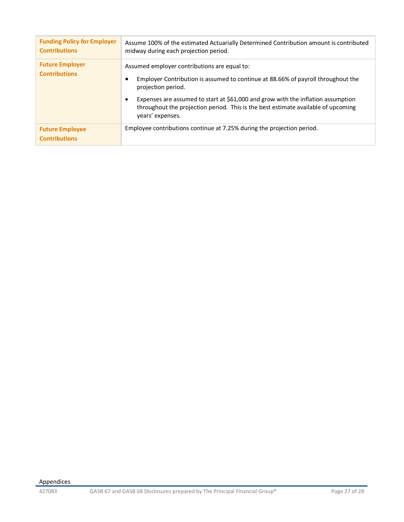| <b>Funding Policy for Employer</b><br><b>Contributions</b> | Assume 100% of the estimated Actuarially Determined Contribution amount is contributed<br>midway during each projection period.                                                                                                                                                                                                                     |
|------------------------------------------------------------|-----------------------------------------------------------------------------------------------------------------------------------------------------------------------------------------------------------------------------------------------------------------------------------------------------------------------------------------------------|
| <b>Future Employer</b><br><b>Contributions</b>             | Assumed employer contributions are equal to:<br>Employer Contribution is assumed to continue at 88.66% of payroll throughout the<br>projection period.<br>Expenses are assumed to start at \$61,000 and grow with the inflation assumption<br>throughout the projection period. This is the best estimate available of upcoming<br>years' expenses. |
| <b>Future Employee</b><br><b>Contributions</b>             | Employee contributions continue at 7.25% during the projection period.                                                                                                                                                                                                                                                                              |